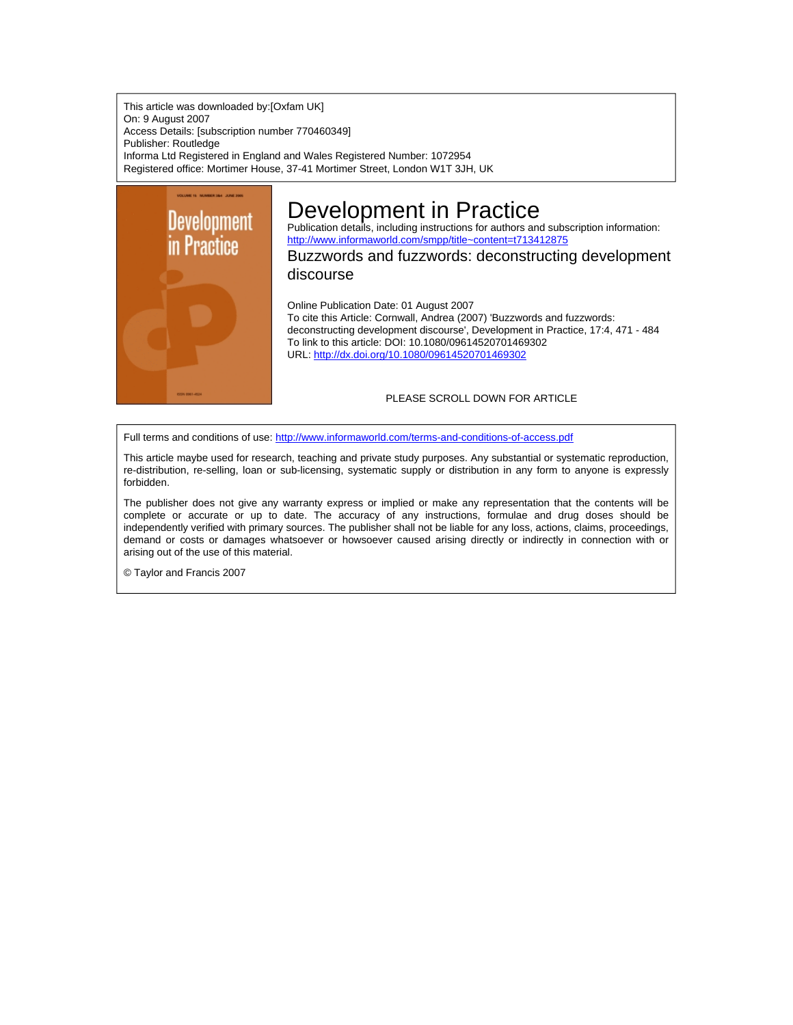This article was downloaded by:[Oxfam UK] On: 9 August 2007 Access Details: [subscription number 770460349] Publisher: Routledge Informa Ltd Registered in England and Wales Registered Number: 1072954 Registered office: Mortimer House, 37-41 Mortimer Street, London W1T 3JH, UK



Full terms and conditions of use: <http://www.informaworld.com/terms-and-conditions-of-access.pdf>

This article maybe used for research, teaching and private study purposes. Any substantial or systematic reproduction, re-distribution, re-selling, loan or sub-licensing, systematic supply or distribution in any form to anyone is expressly forbidden.

The publisher does not give any warranty express or implied or make any representation that the contents will be complete or accurate or up to date. The accuracy of any instructions, formulae and drug doses should be independently verified with primary sources. The publisher shall not be liable for any loss, actions, claims, proceedings, demand or costs or damages whatsoever or howsoever caused arising directly or indirectly in connection with or arising out of the use of this material.

© Taylor and Francis 2007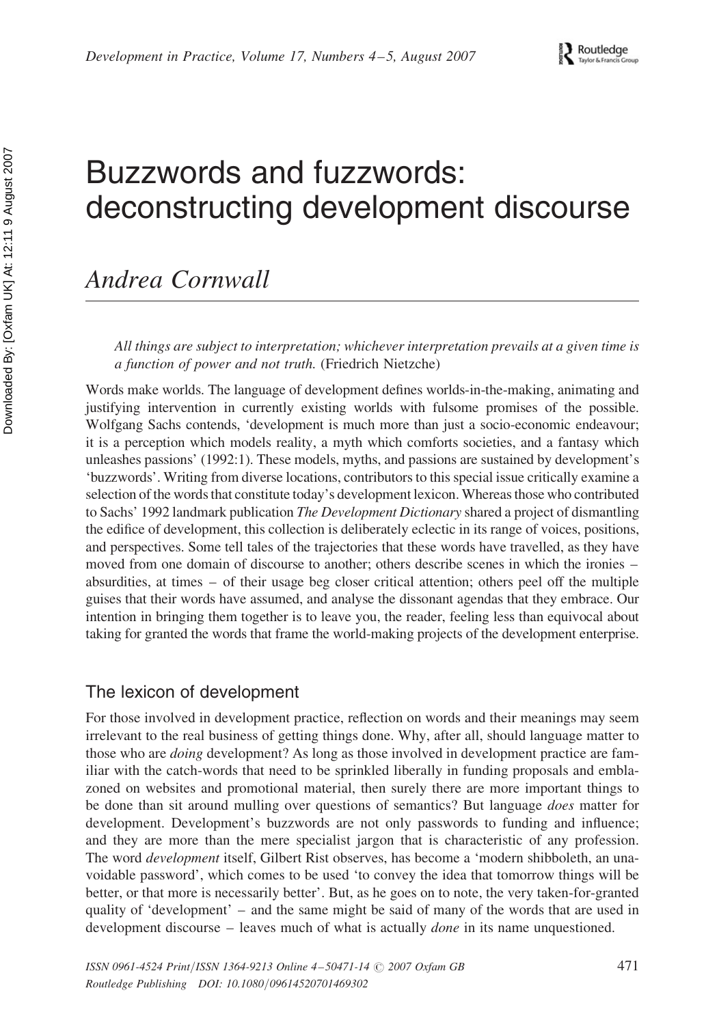# Buzzwords and fuzzwords: deconstructing development discourse

## Andrea Cornwall

All things are subject to interpretation; whichever interpretation prevails at a given time is a function of power and not truth. (Friedrich Nietzche)

Words make worlds. The language of development defines worlds-in-the-making, animating and justifying intervention in currently existing worlds with fulsome promises of the possible. Wolfgang Sachs contends, 'development is much more than just a socio-economic endeavour; it is a perception which models reality, a myth which comforts societies, and a fantasy which unleashes passions' (1992:1). These models, myths, and passions are sustained by development's 'buzzwords'. Writing from diverse locations, contributors to this special issue critically examine a selection of the words that constitute today's development lexicon. Whereas those who contributed to Sachs' 1992 landmark publication The Development Dictionary shared a project of dismantling the edifice of development, this collection is deliberately eclectic in its range of voices, positions, and perspectives. Some tell tales of the trajectories that these words have travelled, as they have moved from one domain of discourse to another; others describe scenes in which the ironies – absurdities, at times – of their usage beg closer critical attention; others peel off the multiple guises that their words have assumed, and analyse the dissonant agendas that they embrace. Our intention in bringing them together is to leave you, the reader, feeling less than equivocal about taking for granted the words that frame the world-making projects of the development enterprise.

## The lexicon of development

For those involved in development practice, reflection on words and their meanings may seem irrelevant to the real business of getting things done. Why, after all, should language matter to those who are *doing* development? As long as those involved in development practice are familiar with the catch-words that need to be sprinkled liberally in funding proposals and emblazoned on websites and promotional material, then surely there are more important things to be done than sit around mulling over questions of semantics? But language does matter for development. Development's buzzwords are not only passwords to funding and influence; and they are more than the mere specialist jargon that is characteristic of any profession. The word development itself, Gilbert Rist observes, has become a 'modern shibboleth, an unavoidable password', which comes to be used 'to convey the idea that tomorrow things will be better, or that more is necessarily better'. But, as he goes on to note, the very taken-for-granted quality of 'development' – and the same might be said of many of the words that are used in development discourse – leaves much of what is actually done in its name unquestioned.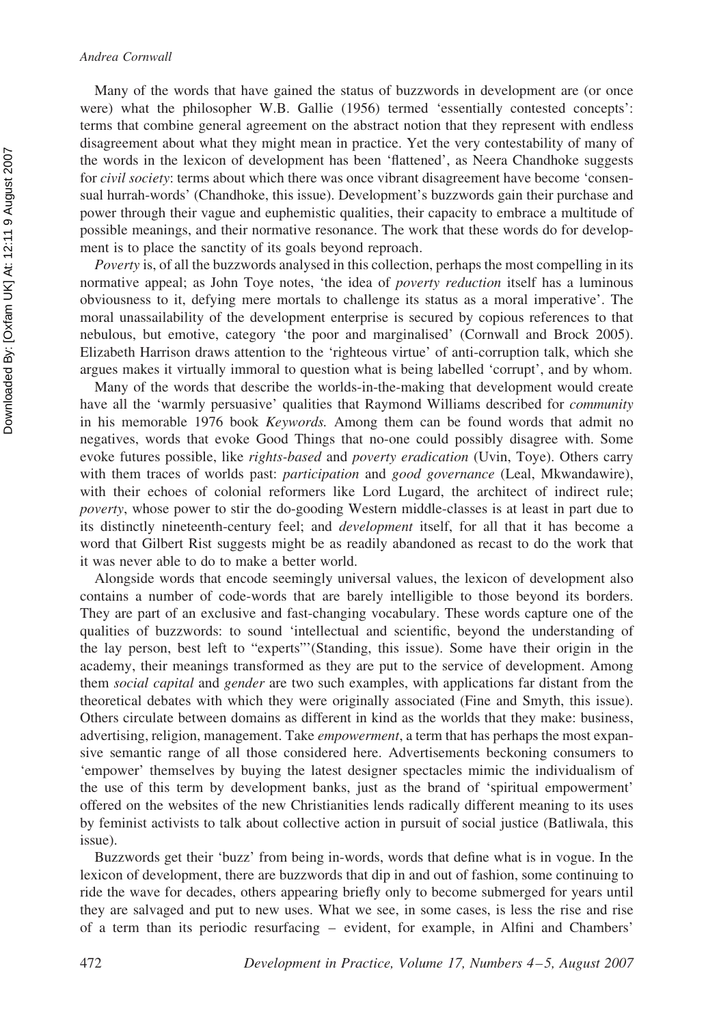Many of the words that have gained the status of buzzwords in development are (or once were) what the philosopher W.B. Gallie (1956) termed 'essentially contested concepts': terms that combine general agreement on the abstract notion that they represent with endless disagreement about what they might mean in practice. Yet the very contestability of many of the words in the lexicon of development has been 'flattened', as Neera Chandhoke suggests for *civil society*: terms about which there was once vibrant disagreement have become 'consensual hurrah-words' (Chandhoke, this issue). Development's buzzwords gain their purchase and power through their vague and euphemistic qualities, their capacity to embrace a multitude of possible meanings, and their normative resonance. The work that these words do for development is to place the sanctity of its goals beyond reproach.

Poverty is, of all the buzzwords analysed in this collection, perhaps the most compelling in its normative appeal; as John Toye notes, 'the idea of *poverty reduction* itself has a luminous obviousness to it, defying mere mortals to challenge its status as a moral imperative'. The moral unassailability of the development enterprise is secured by copious references to that nebulous, but emotive, category 'the poor and marginalised' (Cornwall and Brock 2005). Elizabeth Harrison draws attention to the 'righteous virtue' of anti-corruption talk, which she argues makes it virtually immoral to question what is being labelled 'corrupt', and by whom.

Many of the words that describe the worlds-in-the-making that development would create have all the 'warmly persuasive' qualities that Raymond Williams described for *community* in his memorable 1976 book *Keywords*. Among them can be found words that admit no negatives, words that evoke Good Things that no-one could possibly disagree with. Some evoke futures possible, like rights-based and poverty eradication (Uvin, Toye). Others carry with them traces of worlds past: *participation* and *good governance* (Leal, Mkwandawire), with their echoes of colonial reformers like Lord Lugard, the architect of indirect rule; poverty, whose power to stir the do-gooding Western middle-classes is at least in part due to its distinctly nineteenth-century feel; and development itself, for all that it has become a word that Gilbert Rist suggests might be as readily abandoned as recast to do the work that it was never able to do to make a better world.

Alongside words that encode seemingly universal values, the lexicon of development also contains a number of code-words that are barely intelligible to those beyond its borders. They are part of an exclusive and fast-changing vocabulary. These words capture one of the qualities of buzzwords: to sound 'intellectual and scientific, beyond the understanding of the lay person, best left to "experts"'(Standing, this issue). Some have their origin in the academy, their meanings transformed as they are put to the service of development. Among them *social capital* and *gender* are two such examples, with applications far distant from the theoretical debates with which they were originally associated (Fine and Smyth, this issue). Others circulate between domains as different in kind as the worlds that they make: business, advertising, religion, management. Take *empowerment*, a term that has perhaps the most expansive semantic range of all those considered here. Advertisements beckoning consumers to 'empower' themselves by buying the latest designer spectacles mimic the individualism of the use of this term by development banks, just as the brand of 'spiritual empowerment' offered on the websites of the new Christianities lends radically different meaning to its uses by feminist activists to talk about collective action in pursuit of social justice (Batliwala, this issue).

Buzzwords get their 'buzz' from being in-words, words that define what is in vogue. In the lexicon of development, there are buzzwords that dip in and out of fashion, some continuing to ride the wave for decades, others appearing briefly only to become submerged for years until they are salvaged and put to new uses. What we see, in some cases, is less the rise and rise of a term than its periodic resurfacing – evident, for example, in Alfini and Chambers'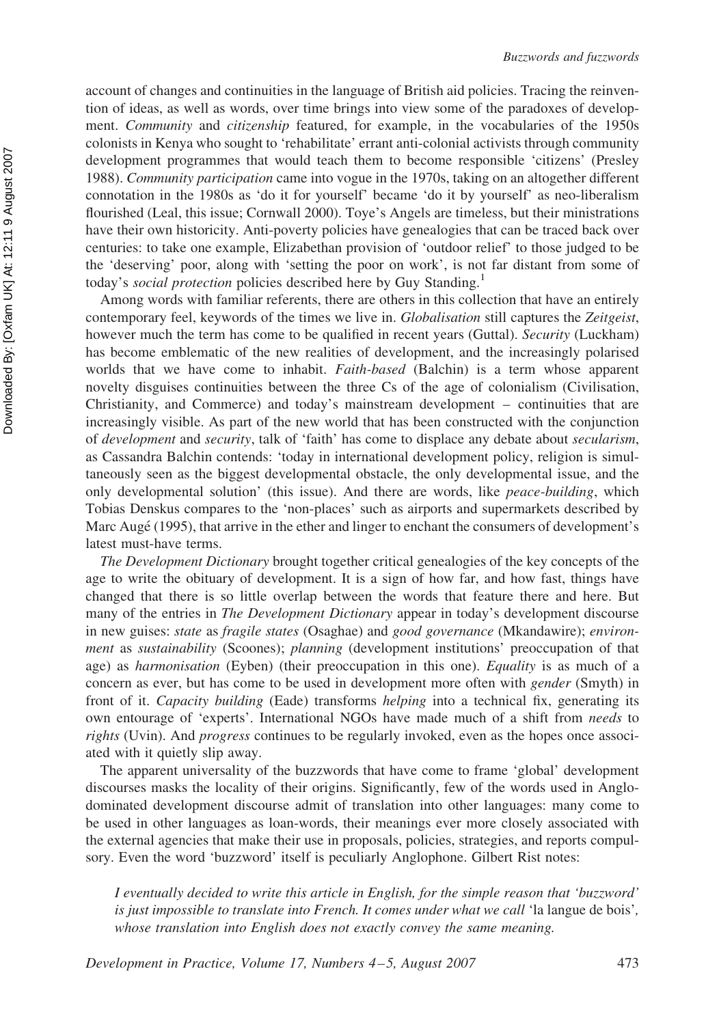account of changes and continuities in the language of British aid policies. Tracing the reinvention of ideas, as well as words, over time brings into view some of the paradoxes of development. Community and citizenship featured, for example, in the vocabularies of the 1950s colonists in Kenya who sought to 'rehabilitate' errant anti-colonial activists through community development programmes that would teach them to become responsible 'citizens' (Presley 1988). Community participation came into vogue in the 1970s, taking on an altogether different connotation in the 1980s as 'do it for yourself' became 'do it by yourself' as neo-liberalism flourished (Leal, this issue; Cornwall 2000). Toye's Angels are timeless, but their ministrations have their own historicity. Anti-poverty policies have genealogies that can be traced back over centuries: to take one example, Elizabethan provision of 'outdoor relief' to those judged to be the 'deserving' poor, along with 'setting the poor on work', is not far distant from some of today's social protection policies described here by Guy Standing.<sup>1</sup>

Among words with familiar referents, there are others in this collection that have an entirely contemporary feel, keywords of the times we live in. Globalisation still captures the Zeitgeist, however much the term has come to be qualified in recent years (Guttal). Security (Luckham) has become emblematic of the new realities of development, and the increasingly polarised worlds that we have come to inhabit. *Faith-based* (Balchin) is a term whose apparent novelty disguises continuities between the three Cs of the age of colonialism (Civilisation, Christianity, and Commerce) and today's mainstream development – continuities that are increasingly visible. As part of the new world that has been constructed with the conjunction of development and security, talk of 'faith' has come to displace any debate about secularism, as Cassandra Balchin contends: 'today in international development policy, religion is simultaneously seen as the biggest developmental obstacle, the only developmental issue, and the only developmental solution' (this issue). And there are words, like peace-building, which Tobias Denskus compares to the 'non-places' such as airports and supermarkets described by Marc Augé (1995), that arrive in the ether and linger to enchant the consumers of development's latest must-have terms.

The Development Dictionary brought together critical genealogies of the key concepts of the age to write the obituary of development. It is a sign of how far, and how fast, things have changed that there is so little overlap between the words that feature there and here. But many of the entries in *The Development Dictionary* appear in today's development discourse in new guises: state as fragile states (Osaghae) and good governance (Mkandawire); environment as *sustainability* (Scoones); *planning* (development institutions' preoccupation of that age) as *harmonisation* (Eyben) (their preoccupation in this one). *Equality* is as much of a concern as ever, but has come to be used in development more often with gender (Smyth) in front of it. Capacity building (Eade) transforms helping into a technical fix, generating its own entourage of 'experts'. International NGOs have made much of a shift from needs to rights (Uvin). And progress continues to be regularly invoked, even as the hopes once associated with it quietly slip away.

The apparent universality of the buzzwords that have come to frame 'global' development discourses masks the locality of their origins. Significantly, few of the words used in Anglodominated development discourse admit of translation into other languages: many come to be used in other languages as loan-words, their meanings ever more closely associated with the external agencies that make their use in proposals, policies, strategies, and reports compulsory. Even the word 'buzzword' itself is peculiarly Anglophone. Gilbert Rist notes:

I eventually decided to write this article in English, for the simple reason that 'buzzword' is just impossible to translate into French. It comes under what we call 'la langue de bois', whose translation into English does not exactly convey the same meaning.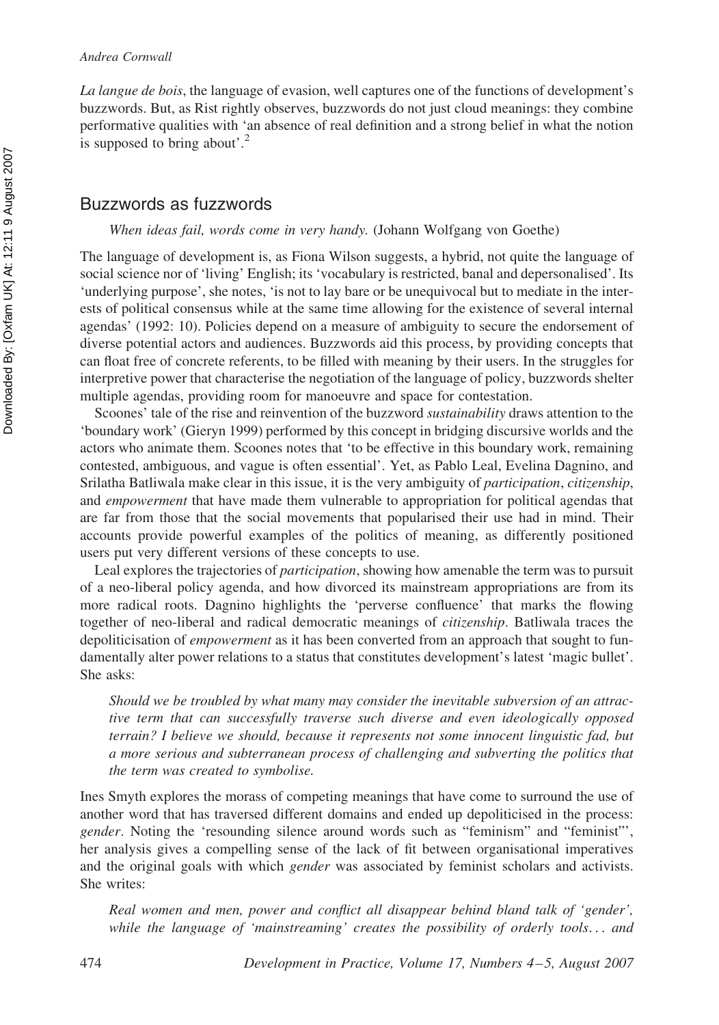La langue de bois, the language of evasion, well captures one of the functions of development's buzzwords. But, as Rist rightly observes, buzzwords do not just cloud meanings: they combine performative qualities with 'an absence of real definition and a strong belief in what the notion is supposed to bring about'.<sup>2</sup>

## Buzzwords as fuzzwords

#### When ideas fail, words come in very handy. (Johann Wolfgang von Goethe)

The language of development is, as Fiona Wilson suggests, a hybrid, not quite the language of social science nor of 'living' English; its 'vocabulary is restricted, banal and depersonalised'. Its 'underlying purpose', she notes, 'is not to lay bare or be unequivocal but to mediate in the interests of political consensus while at the same time allowing for the existence of several internal agendas' (1992: 10). Policies depend on a measure of ambiguity to secure the endorsement of diverse potential actors and audiences. Buzzwords aid this process, by providing concepts that can float free of concrete referents, to be filled with meaning by their users. In the struggles for interpretive power that characterise the negotiation of the language of policy, buzzwords shelter multiple agendas, providing room for manoeuvre and space for contestation.

Scoones' tale of the rise and reinvention of the buzzword *sustainability* draws attention to the 'boundary work' (Gieryn 1999) performed by this concept in bridging discursive worlds and the actors who animate them. Scoones notes that 'to be effective in this boundary work, remaining contested, ambiguous, and vague is often essential'. Yet, as Pablo Leal, Evelina Dagnino, and Srilatha Batliwala make clear in this issue, it is the very ambiguity of participation, citizenship, and *empowerment* that have made them vulnerable to appropriation for political agendas that are far from those that the social movements that popularised their use had in mind. Their accounts provide powerful examples of the politics of meaning, as differently positioned users put very different versions of these concepts to use.

Leal explores the trajectories of *participation*, showing how amenable the term was to pursuit of a neo-liberal policy agenda, and how divorced its mainstream appropriations are from its more radical roots. Dagnino highlights the 'perverse confluence' that marks the flowing together of neo-liberal and radical democratic meanings of citizenship. Batliwala traces the depoliticisation of empowerment as it has been converted from an approach that sought to fundamentally alter power relations to a status that constitutes development's latest 'magic bullet'. She asks:

Should we be troubled by what many may consider the inevitable subversion of an attractive term that can successfully traverse such diverse and even ideologically opposed terrain? I believe we should, because it represents not some innocent linguistic fad, but a more serious and subterranean process of challenging and subverting the politics that the term was created to symbolise.

Ines Smyth explores the morass of competing meanings that have come to surround the use of another word that has traversed different domains and ended up depoliticised in the process: gender. Noting the 'resounding silence around words such as "feminism" and "feminist"', her analysis gives a compelling sense of the lack of fit between organisational imperatives and the original goals with which gender was associated by feminist scholars and activists. She writes:

Real women and men, power and conflict all disappear behind bland talk of 'gender', while the language of 'mainstreaming' creates the possibility of orderly tools... and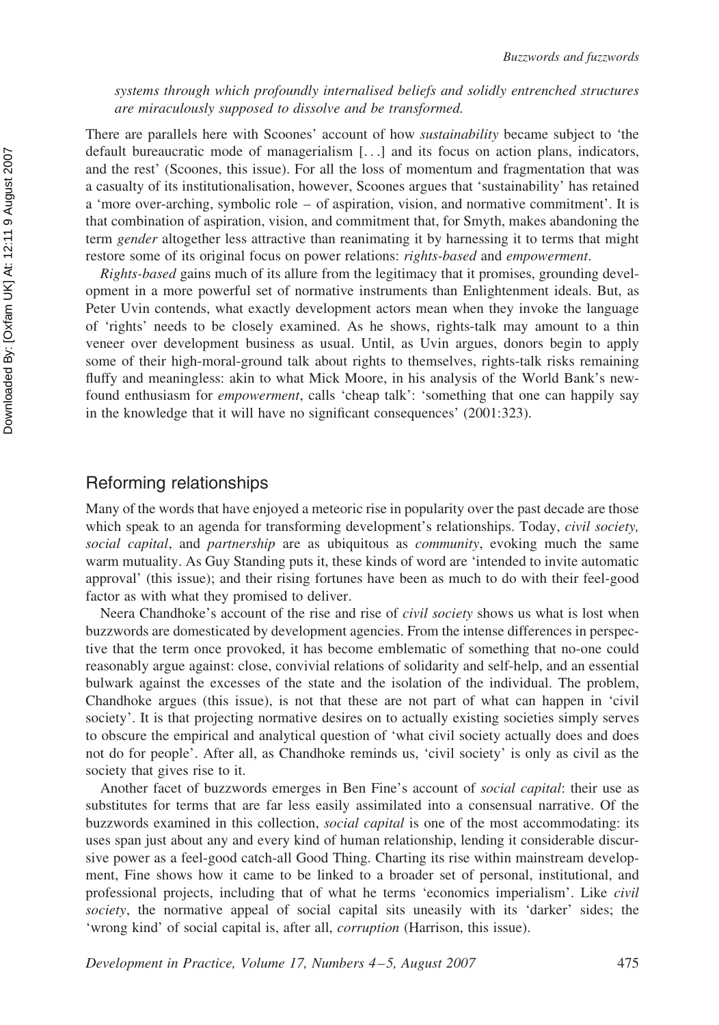systems through which profoundly internalised beliefs and solidly entrenched structures are miraculously supposed to dissolve and be transformed.

There are parallels here with Scoones' account of how sustainability became subject to 'the default bureaucratic mode of managerialism [...] and its focus on action plans, indicators, and the rest' (Scoones, this issue). For all the loss of momentum and fragmentation that was a casualty of its institutionalisation, however, Scoones argues that 'sustainability' has retained a 'more over-arching, symbolic role – of aspiration, vision, and normative commitment'. It is that combination of aspiration, vision, and commitment that, for Smyth, makes abandoning the term *gender* altogether less attractive than reanimating it by harnessing it to terms that might restore some of its original focus on power relations: rights-based and empowerment.

Rights-based gains much of its allure from the legitimacy that it promises, grounding development in a more powerful set of normative instruments than Enlightenment ideals. But, as Peter Uvin contends, what exactly development actors mean when they invoke the language of 'rights' needs to be closely examined. As he shows, rights-talk may amount to a thin veneer over development business as usual. Until, as Uvin argues, donors begin to apply some of their high-moral-ground talk about rights to themselves, rights-talk risks remaining fluffy and meaningless: akin to what Mick Moore, in his analysis of the World Bank's newfound enthusiasm for empowerment, calls 'cheap talk': 'something that one can happily say in the knowledge that it will have no significant consequences' (2001:323).

## Reforming relationships

Many of the words that have enjoyed a meteoric rise in popularity over the past decade are those which speak to an agenda for transforming development's relationships. Today, *civil society*, social capital, and partnership are as ubiquitous as *community*, evoking much the same warm mutuality. As Guy Standing puts it, these kinds of word are 'intended to invite automatic approval' (this issue); and their rising fortunes have been as much to do with their feel-good factor as with what they promised to deliver.

Neera Chandhoke's account of the rise and rise of *civil society* shows us what is lost when buzzwords are domesticated by development agencies. From the intense differences in perspective that the term once provoked, it has become emblematic of something that no-one could reasonably argue against: close, convivial relations of solidarity and self-help, and an essential bulwark against the excesses of the state and the isolation of the individual. The problem, Chandhoke argues (this issue), is not that these are not part of what can happen in 'civil society'. It is that projecting normative desires on to actually existing societies simply serves to obscure the empirical and analytical question of 'what civil society actually does and does not do for people'. After all, as Chandhoke reminds us, 'civil society' is only as civil as the society that gives rise to it.

Another facet of buzzwords emerges in Ben Fine's account of social capital: their use as substitutes for terms that are far less easily assimilated into a consensual narrative. Of the buzzwords examined in this collection, social capital is one of the most accommodating: its uses span just about any and every kind of human relationship, lending it considerable discursive power as a feel-good catch-all Good Thing. Charting its rise within mainstream development, Fine shows how it came to be linked to a broader set of personal, institutional, and professional projects, including that of what he terms 'economics imperialism'. Like civil society, the normative appeal of social capital sits uneasily with its 'darker' sides; the 'wrong kind' of social capital is, after all, corruption (Harrison, this issue).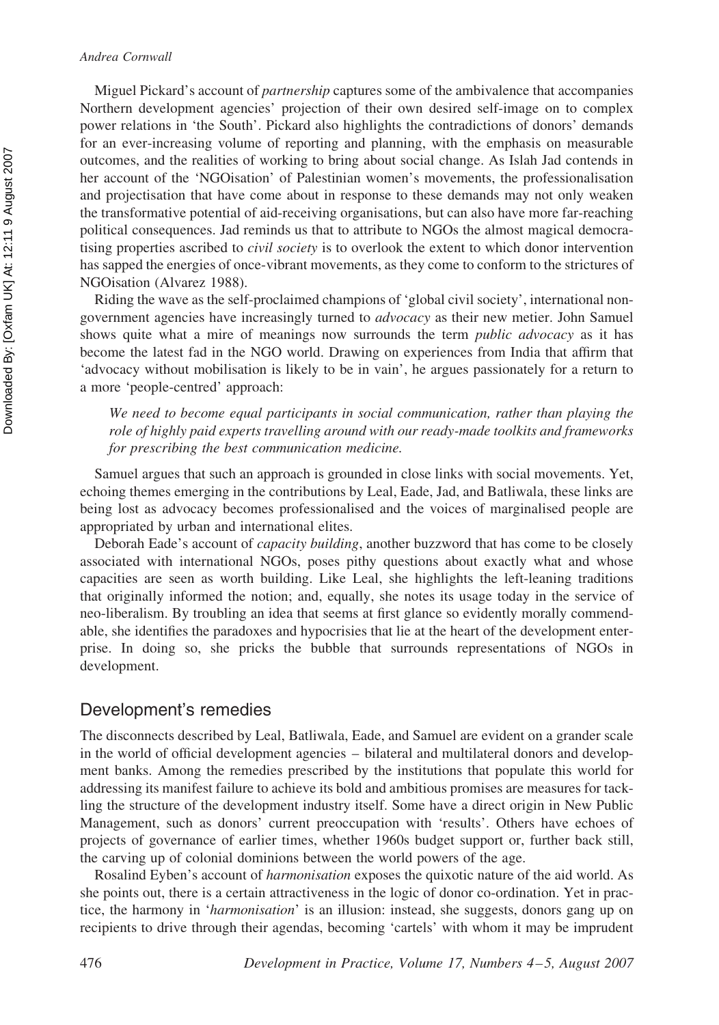Miguel Pickard's account of partnership captures some of the ambivalence that accompanies Northern development agencies' projection of their own desired self-image on to complex power relations in 'the South'. Pickard also highlights the contradictions of donors' demands for an ever-increasing volume of reporting and planning, with the emphasis on measurable outcomes, and the realities of working to bring about social change. As Islah Jad contends in her account of the 'NGOisation' of Palestinian women's movements, the professionalisation and projectisation that have come about in response to these demands may not only weaken the transformative potential of aid-receiving organisations, but can also have more far-reaching political consequences. Jad reminds us that to attribute to NGOs the almost magical democratising properties ascribed to civil society is to overlook the extent to which donor intervention has sapped the energies of once-vibrant movements, as they come to conform to the strictures of NGOisation (Alvarez 1988).

Riding the wave as the self-proclaimed champions of 'global civil society', international nongovernment agencies have increasingly turned to advocacy as their new metier. John Samuel shows quite what a mire of meanings now surrounds the term *public advocacy* as it has become the latest fad in the NGO world. Drawing on experiences from India that affirm that 'advocacy without mobilisation is likely to be in vain', he argues passionately for a return to a more 'people-centred' approach:

We need to become equal participants in social communication, rather than playing the role of highly paid experts travelling around with our ready-made toolkits and frameworks for prescribing the best communication medicine.

Samuel argues that such an approach is grounded in close links with social movements. Yet, echoing themes emerging in the contributions by Leal, Eade, Jad, and Batliwala, these links are being lost as advocacy becomes professionalised and the voices of marginalised people are appropriated by urban and international elites.

Deborah Eade's account of capacity building, another buzzword that has come to be closely associated with international NGOs, poses pithy questions about exactly what and whose capacities are seen as worth building. Like Leal, she highlights the left-leaning traditions that originally informed the notion; and, equally, she notes its usage today in the service of neo-liberalism. By troubling an idea that seems at first glance so evidently morally commendable, she identifies the paradoxes and hypocrisies that lie at the heart of the development enterprise. In doing so, she pricks the bubble that surrounds representations of NGOs in development.

## Development's remedies

The disconnects described by Leal, Batliwala, Eade, and Samuel are evident on a grander scale in the world of official development agencies – bilateral and multilateral donors and development banks. Among the remedies prescribed by the institutions that populate this world for addressing its manifest failure to achieve its bold and ambitious promises are measures for tackling the structure of the development industry itself. Some have a direct origin in New Public Management, such as donors' current preoccupation with 'results'. Others have echoes of projects of governance of earlier times, whether 1960s budget support or, further back still, the carving up of colonial dominions between the world powers of the age.

Rosalind Eyben's account of harmonisation exposes the quixotic nature of the aid world. As she points out, there is a certain attractiveness in the logic of donor co-ordination. Yet in practice, the harmony in 'harmonisation' is an illusion: instead, she suggests, donors gang up on recipients to drive through their agendas, becoming 'cartels' with whom it may be imprudent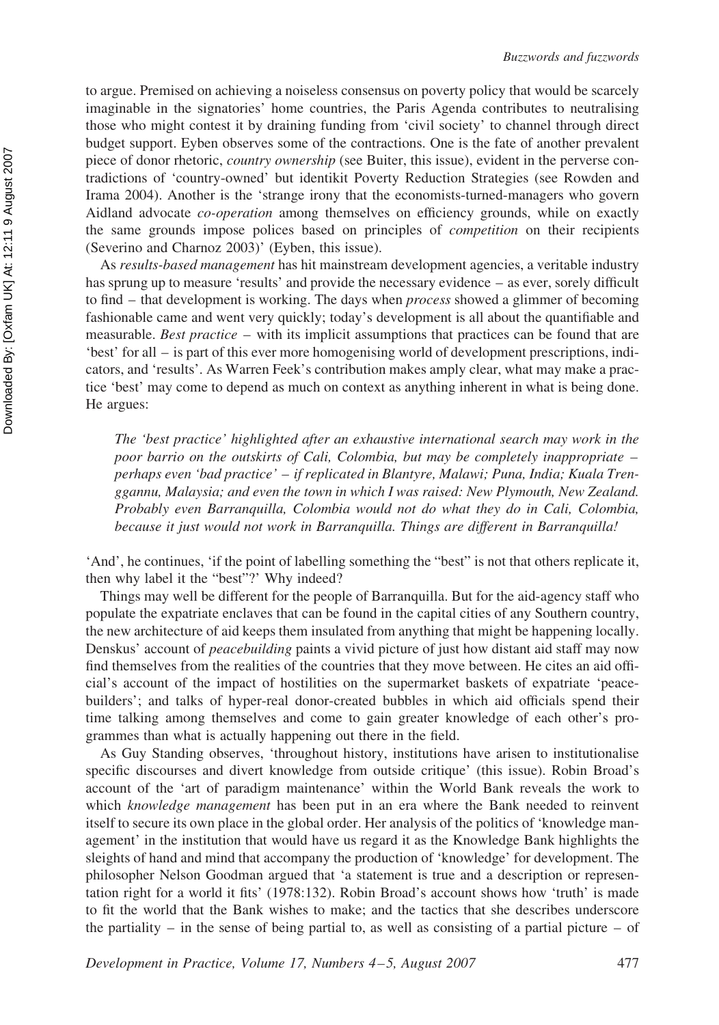to argue. Premised on achieving a noiseless consensus on poverty policy that would be scarcely imaginable in the signatories' home countries, the Paris Agenda contributes to neutralising those who might contest it by draining funding from 'civil society' to channel through direct budget support. Eyben observes some of the contractions. One is the fate of another prevalent piece of donor rhetoric, country ownership (see Buiter, this issue), evident in the perverse contradictions of 'country-owned' but identikit Poverty Reduction Strategies (see Rowden and Irama 2004). Another is the 'strange irony that the economists-turned-managers who govern Aidland advocate co-operation among themselves on efficiency grounds, while on exactly the same grounds impose polices based on principles of competition on their recipients (Severino and Charnoz 2003)' (Eyben, this issue).

As results-based management has hit mainstream development agencies, a veritable industry has sprung up to measure 'results' and provide the necessary evidence – as ever, sorely difficult to find – that development is working. The days when *process* showed a glimmer of becoming fashionable came and went very quickly; today's development is all about the quantifiable and measurable. Best practice – with its implicit assumptions that practices can be found that are 'best' for all – is part of this ever more homogenising world of development prescriptions, indicators, and 'results'. As Warren Feek's contribution makes amply clear, what may make a practice 'best' may come to depend as much on context as anything inherent in what is being done. He argues:

The 'best practice' highlighted after an exhaustive international search may work in the poor barrio on the outskirts of Cali, Colombia, but may be completely inappropriate – perhaps even 'bad practice' – if replicated in Blantyre, Malawi; Puna, India; Kuala Trenggannu, Malaysia; and even the town in which I was raised: New Plymouth, New Zealand. Probably even Barranquilla, Colombia would not do what they do in Cali, Colombia, because it just would not work in Barranquilla. Things are different in Barranquilla!

'And', he continues, 'if the point of labelling something the "best" is not that others replicate it, then why label it the "best"?' Why indeed?

Things may well be different for the people of Barranquilla. But for the aid-agency staff who populate the expatriate enclaves that can be found in the capital cities of any Southern country, the new architecture of aid keeps them insulated from anything that might be happening locally. Denskus' account of peacebuilding paints a vivid picture of just how distant aid staff may now find themselves from the realities of the countries that they move between. He cites an aid official's account of the impact of hostilities on the supermarket baskets of expatriate 'peacebuilders'; and talks of hyper-real donor-created bubbles in which aid officials spend their time talking among themselves and come to gain greater knowledge of each other's programmes than what is actually happening out there in the field.

As Guy Standing observes, 'throughout history, institutions have arisen to institutionalise specific discourses and divert knowledge from outside critique' (this issue). Robin Broad's account of the 'art of paradigm maintenance' within the World Bank reveals the work to which knowledge management has been put in an era where the Bank needed to reinvent itself to secure its own place in the global order. Her analysis of the politics of 'knowledge management' in the institution that would have us regard it as the Knowledge Bank highlights the sleights of hand and mind that accompany the production of 'knowledge' for development. The philosopher Nelson Goodman argued that 'a statement is true and a description or representation right for a world it fits' (1978:132). Robin Broad's account shows how 'truth' is made to fit the world that the Bank wishes to make; and the tactics that she describes underscore the partiality – in the sense of being partial to, as well as consisting of a partial picture – of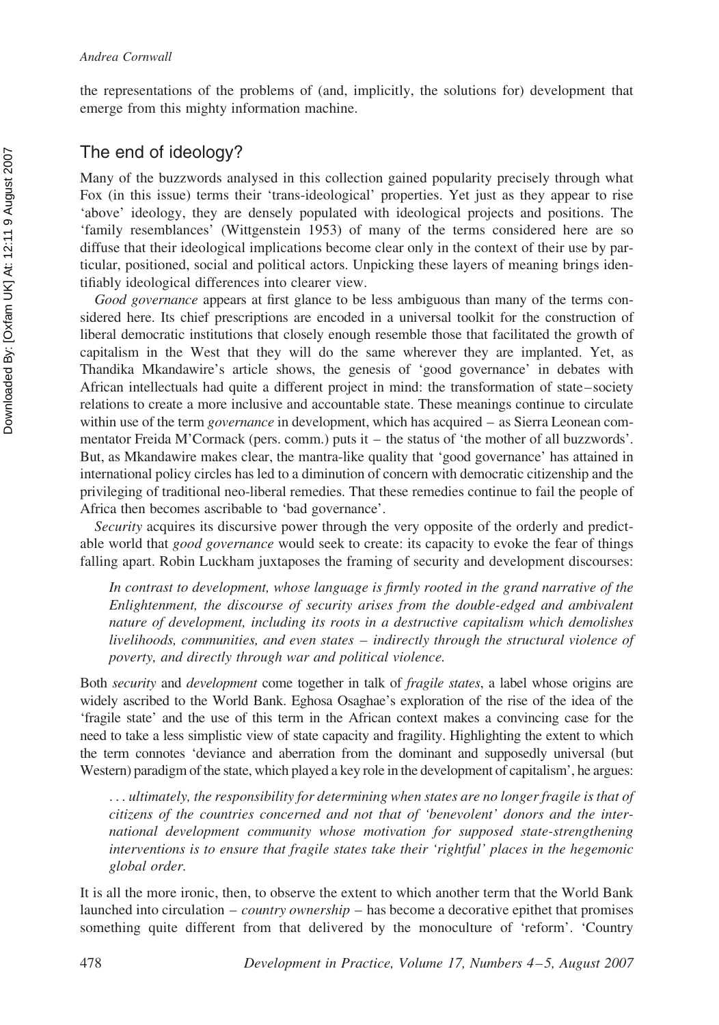the representations of the problems of (and, implicitly, the solutions for) development that emerge from this mighty information machine.

## The end of ideology?

Many of the buzzwords analysed in this collection gained popularity precisely through what Fox (in this issue) terms their 'trans-ideological' properties. Yet just as they appear to rise 'above' ideology, they are densely populated with ideological projects and positions. The 'family resemblances' (Wittgenstein 1953) of many of the terms considered here are so diffuse that their ideological implications become clear only in the context of their use by particular, positioned, social and political actors. Unpicking these layers of meaning brings identifiably ideological differences into clearer view.

Good governance appears at first glance to be less ambiguous than many of the terms considered here. Its chief prescriptions are encoded in a universal toolkit for the construction of liberal democratic institutions that closely enough resemble those that facilitated the growth of capitalism in the West that they will do the same wherever they are implanted. Yet, as Thandika Mkandawire's article shows, the genesis of 'good governance' in debates with African intellectuals had quite a different project in mind: the transformation of state–society relations to create a more inclusive and accountable state. These meanings continue to circulate within use of the term *governance* in development, which has acquired – as Sierra Leonean commentator Freida M'Cormack (pers. comm.) puts it – the status of 'the mother of all buzzwords'. But, as Mkandawire makes clear, the mantra-like quality that 'good governance' has attained in international policy circles has led to a diminution of concern with democratic citizenship and the privileging of traditional neo-liberal remedies. That these remedies continue to fail the people of Africa then becomes ascribable to 'bad governance'.

Security acquires its discursive power through the very opposite of the orderly and predictable world that *good governance* would seek to create: its capacity to evoke the fear of things falling apart. Robin Luckham juxtaposes the framing of security and development discourses:

In contrast to development, whose language is firmly rooted in the grand narrative of the Enlightenment, the discourse of security arises from the double-edged and ambivalent nature of development, including its roots in a destructive capitalism which demolishes livelihoods, communities, and even states – indirectly through the structural violence of poverty, and directly through war and political violence.

Both security and development come together in talk of *fragile states*, a label whose origins are widely ascribed to the World Bank. Eghosa Osaghae's exploration of the rise of the idea of the 'fragile state' and the use of this term in the African context makes a convincing case for the need to take a less simplistic view of state capacity and fragility. Highlighting the extent to which the term connotes 'deviance and aberration from the dominant and supposedly universal (but Western) paradigm of the state, which played a key role in the development of capitalism', he argues:

... ultimately, the responsibility for determining when states are no longer fragile is that of citizens of the countries concerned and not that of 'benevolent' donors and the international development community whose motivation for supposed state-strengthening interventions is to ensure that fragile states take their 'rightful' places in the hegemonic global order.

It is all the more ironic, then, to observe the extent to which another term that the World Bank launched into circulation – country ownership – has become a decorative epithet that promises something quite different from that delivered by the monoculture of 'reform'. 'Country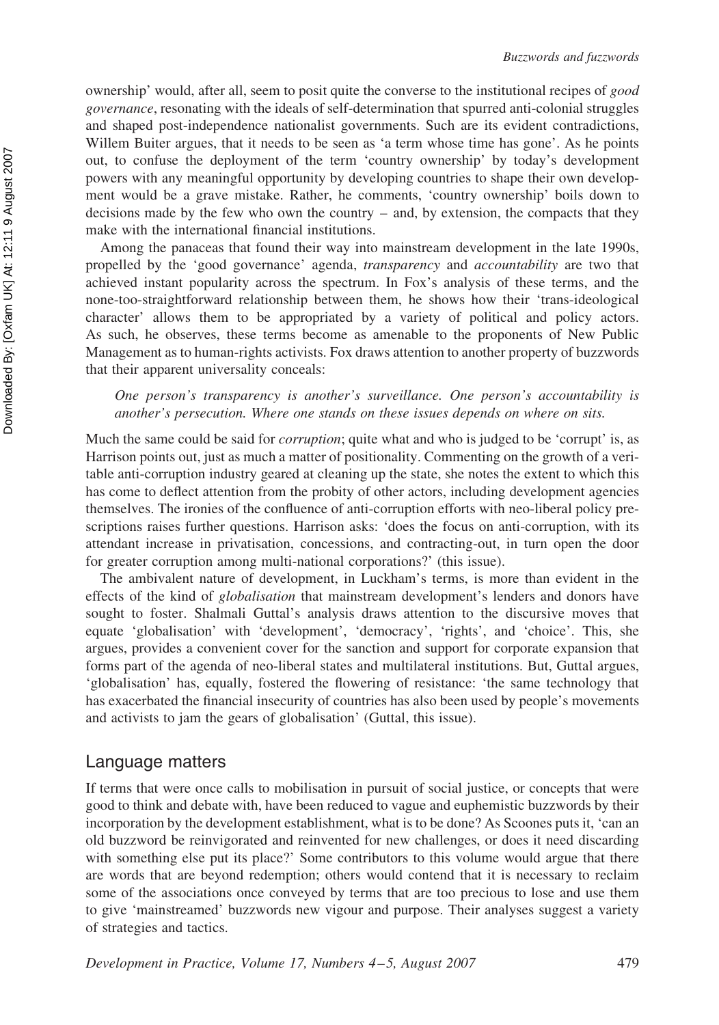ownership' would, after all, seem to posit quite the converse to the institutional recipes of good governance, resonating with the ideals of self-determination that spurred anti-colonial struggles and shaped post-independence nationalist governments. Such are its evident contradictions, Willem Buiter argues, that it needs to be seen as 'a term whose time has gone'. As he points out, to confuse the deployment of the term 'country ownership' by today's development powers with any meaningful opportunity by developing countries to shape their own development would be a grave mistake. Rather, he comments, 'country ownership' boils down to decisions made by the few who own the country – and, by extension, the compacts that they make with the international financial institutions.

Among the panaceas that found their way into mainstream development in the late 1990s, propelled by the 'good governance' agenda, transparency and accountability are two that achieved instant popularity across the spectrum. In Fox's analysis of these terms, and the none-too-straightforward relationship between them, he shows how their 'trans-ideological character' allows them to be appropriated by a variety of political and policy actors. As such, he observes, these terms become as amenable to the proponents of New Public Management as to human-rights activists. Fox draws attention to another property of buzzwords that their apparent universality conceals:

One person's transparency is another's surveillance. One person's accountability is another's persecution. Where one stands on these issues depends on where on sits.

Much the same could be said for *corruption*; quite what and who is judged to be 'corrupt' is, as Harrison points out, just as much a matter of positionality. Commenting on the growth of a veritable anti-corruption industry geared at cleaning up the state, she notes the extent to which this has come to deflect attention from the probity of other actors, including development agencies themselves. The ironies of the confluence of anti-corruption efforts with neo-liberal policy prescriptions raises further questions. Harrison asks: 'does the focus on anti-corruption, with its attendant increase in privatisation, concessions, and contracting-out, in turn open the door for greater corruption among multi-national corporations?' (this issue).

The ambivalent nature of development, in Luckham's terms, is more than evident in the effects of the kind of globalisation that mainstream development's lenders and donors have sought to foster. Shalmali Guttal's analysis draws attention to the discursive moves that equate 'globalisation' with 'development', 'democracy', 'rights', and 'choice'. This, she argues, provides a convenient cover for the sanction and support for corporate expansion that forms part of the agenda of neo-liberal states and multilateral institutions. But, Guttal argues, 'globalisation' has, equally, fostered the flowering of resistance: 'the same technology that has exacerbated the financial insecurity of countries has also been used by people's movements and activists to jam the gears of globalisation' (Guttal, this issue).

## Language matters

If terms that were once calls to mobilisation in pursuit of social justice, or concepts that were good to think and debate with, have been reduced to vague and euphemistic buzzwords by their incorporation by the development establishment, what is to be done? As Scoones puts it, 'can an old buzzword be reinvigorated and reinvented for new challenges, or does it need discarding with something else put its place?' Some contributors to this volume would argue that there are words that are beyond redemption; others would contend that it is necessary to reclaim some of the associations once conveyed by terms that are too precious to lose and use them to give 'mainstreamed' buzzwords new vigour and purpose. Their analyses suggest a variety of strategies and tactics.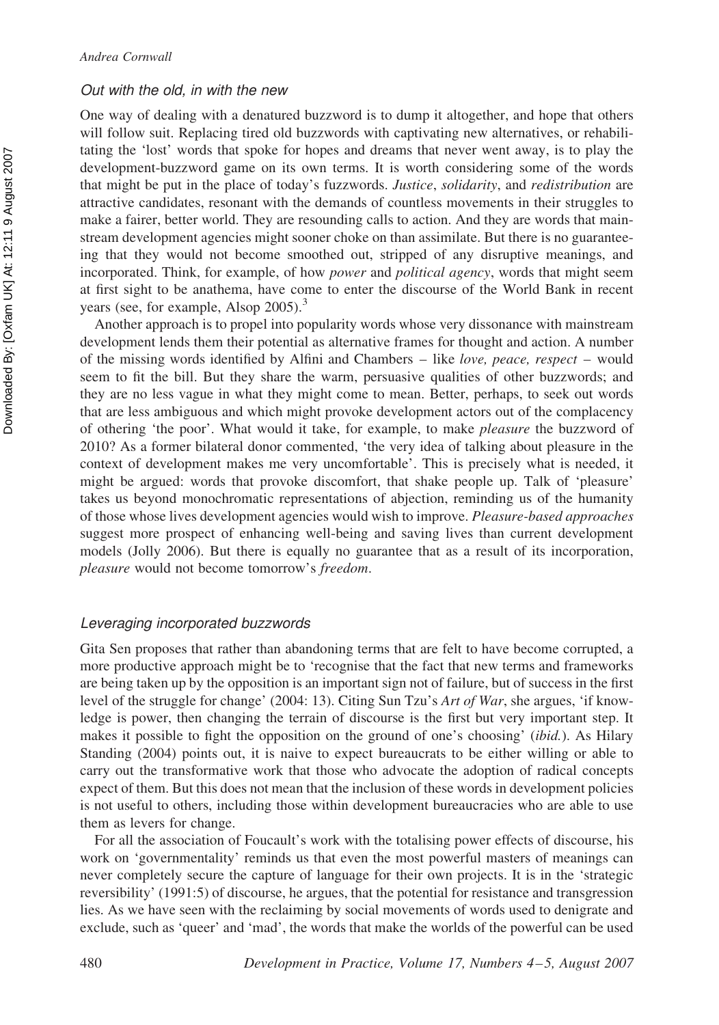#### Out with the old, in with the new

One way of dealing with a denatured buzzword is to dump it altogether, and hope that others will follow suit. Replacing tired old buzzwords with captivating new alternatives, or rehabilitating the 'lost' words that spoke for hopes and dreams that never went away, is to play the development-buzzword game on its own terms. It is worth considering some of the words that might be put in the place of today's fuzzwords. Justice, solidarity, and redistribution are attractive candidates, resonant with the demands of countless movements in their struggles to make a fairer, better world. They are resounding calls to action. And they are words that mainstream development agencies might sooner choke on than assimilate. But there is no guaranteeing that they would not become smoothed out, stripped of any disruptive meanings, and incorporated. Think, for example, of how *power* and *political agency*, words that might seem at first sight to be anathema, have come to enter the discourse of the World Bank in recent years (see, for example, Alsop 2005).<sup>3</sup>

Another approach is to propel into popularity words whose very dissonance with mainstream development lends them their potential as alternative frames for thought and action. A number of the missing words identified by Alfini and Chambers – like love, peace, respect – would seem to fit the bill. But they share the warm, persuasive qualities of other buzzwords; and they are no less vague in what they might come to mean. Better, perhaps, to seek out words that are less ambiguous and which might provoke development actors out of the complacency of othering 'the poor'. What would it take, for example, to make pleasure the buzzword of 2010? As a former bilateral donor commented, 'the very idea of talking about pleasure in the context of development makes me very uncomfortable'. This is precisely what is needed, it might be argued: words that provoke discomfort, that shake people up. Talk of 'pleasure' takes us beyond monochromatic representations of abjection, reminding us of the humanity of those whose lives development agencies would wish to improve. Pleasure-based approaches suggest more prospect of enhancing well-being and saving lives than current development models (Jolly 2006). But there is equally no guarantee that as a result of its incorporation, pleasure would not become tomorrow's freedom.

#### Leveraging incorporated buzzwords

Gita Sen proposes that rather than abandoning terms that are felt to have become corrupted, a more productive approach might be to 'recognise that the fact that new terms and frameworks are being taken up by the opposition is an important sign not of failure, but of success in the first level of the struggle for change' (2004: 13). Citing Sun Tzu's Art of War, she argues, 'if knowledge is power, then changing the terrain of discourse is the first but very important step. It makes it possible to fight the opposition on the ground of one's choosing' (ibid.). As Hilary Standing (2004) points out, it is naive to expect bureaucrats to be either willing or able to carry out the transformative work that those who advocate the adoption of radical concepts expect of them. But this does not mean that the inclusion of these words in development policies is not useful to others, including those within development bureaucracies who are able to use them as levers for change.

For all the association of Foucault's work with the totalising power effects of discourse, his work on 'governmentality' reminds us that even the most powerful masters of meanings can never completely secure the capture of language for their own projects. It is in the 'strategic reversibility' (1991:5) of discourse, he argues, that the potential for resistance and transgression lies. As we have seen with the reclaiming by social movements of words used to denigrate and exclude, such as 'queer' and 'mad', the words that make the worlds of the powerful can be used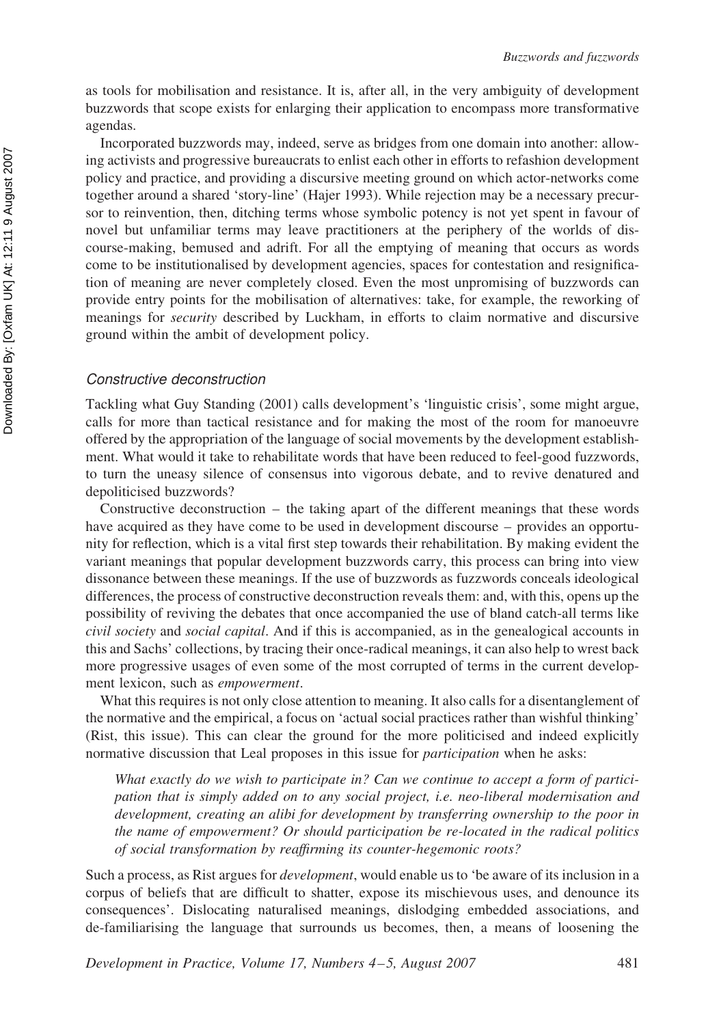as tools for mobilisation and resistance. It is, after all, in the very ambiguity of development buzzwords that scope exists for enlarging their application to encompass more transformative agendas.

Incorporated buzzwords may, indeed, serve as bridges from one domain into another: allowing activists and progressive bureaucrats to enlist each other in efforts to refashion development policy and practice, and providing a discursive meeting ground on which actor-networks come together around a shared 'story-line' (Hajer 1993). While rejection may be a necessary precursor to reinvention, then, ditching terms whose symbolic potency is not yet spent in favour of novel but unfamiliar terms may leave practitioners at the periphery of the worlds of discourse-making, bemused and adrift. For all the emptying of meaning that occurs as words come to be institutionalised by development agencies, spaces for contestation and resignification of meaning are never completely closed. Even the most unpromising of buzzwords can provide entry points for the mobilisation of alternatives: take, for example, the reworking of meanings for *security* described by Luckham, in efforts to claim normative and discursive ground within the ambit of development policy.

### Constructive deconstruction

Tackling what Guy Standing (2001) calls development's 'linguistic crisis', some might argue, calls for more than tactical resistance and for making the most of the room for manoeuvre offered by the appropriation of the language of social movements by the development establishment. What would it take to rehabilitate words that have been reduced to feel-good fuzzwords, to turn the uneasy silence of consensus into vigorous debate, and to revive denatured and depoliticised buzzwords?

Constructive deconstruction – the taking apart of the different meanings that these words have acquired as they have come to be used in development discourse – provides an opportunity for reflection, which is a vital first step towards their rehabilitation. By making evident the variant meanings that popular development buzzwords carry, this process can bring into view dissonance between these meanings. If the use of buzzwords as fuzzwords conceals ideological differences, the process of constructive deconstruction reveals them: and, with this, opens up the possibility of reviving the debates that once accompanied the use of bland catch-all terms like civil society and social capital. And if this is accompanied, as in the genealogical accounts in this and Sachs' collections, by tracing their once-radical meanings, it can also help to wrest back more progressive usages of even some of the most corrupted of terms in the current development lexicon, such as empowerment.

What this requires is not only close attention to meaning. It also calls for a disentanglement of the normative and the empirical, a focus on 'actual social practices rather than wishful thinking' (Rist, this issue). This can clear the ground for the more politicised and indeed explicitly normative discussion that Leal proposes in this issue for participation when he asks:

What exactly do we wish to participate in? Can we continue to accept a form of participation that is simply added on to any social project, i.e. neo-liberal modernisation and development, creating an alibi for development by transferring ownership to the poor in the name of empowerment? Or should participation be re-located in the radical politics of social transformation by reaffirming its counter-hegemonic roots?

Such a process, as Rist argues for development, would enable us to 'be aware of its inclusion in a corpus of beliefs that are difficult to shatter, expose its mischievous uses, and denounce its consequences'. Dislocating naturalised meanings, dislodging embedded associations, and de-familiarising the language that surrounds us becomes, then, a means of loosening the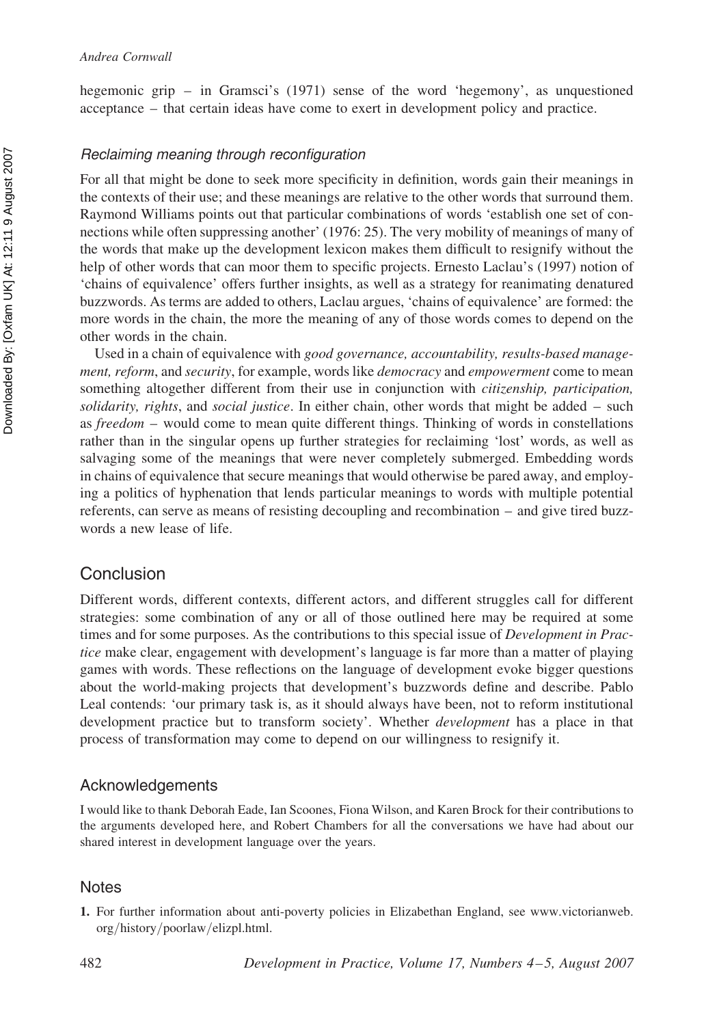hegemonic grip – in Gramsci's (1971) sense of the word 'hegemony', as unquestioned acceptance – that certain ideas have come to exert in development policy and practice.

#### Reclaiming meaning through reconfiguration

For all that might be done to seek more specificity in definition, words gain their meanings in the contexts of their use; and these meanings are relative to the other words that surround them. Raymond Williams points out that particular combinations of words 'establish one set of connections while often suppressing another' (1976: 25). The very mobility of meanings of many of the words that make up the development lexicon makes them difficult to resignify without the help of other words that can moor them to specific projects. Ernesto Laclau's (1997) notion of 'chains of equivalence' offers further insights, as well as a strategy for reanimating denatured buzzwords. As terms are added to others, Laclau argues, 'chains of equivalence' are formed: the more words in the chain, the more the meaning of any of those words comes to depend on the other words in the chain.

Used in a chain of equivalence with good governance, accountability, results-based management, reform, and security, for example, words like *democracy* and *empowerment* come to mean something altogether different from their use in conjunction with *citizenship*, *participation*, solidarity, rights, and social justice. In either chain, other words that might be added – such as freedom – would come to mean quite different things. Thinking of words in constellations rather than in the singular opens up further strategies for reclaiming 'lost' words, as well as salvaging some of the meanings that were never completely submerged. Embedding words in chains of equivalence that secure meanings that would otherwise be pared away, and employing a politics of hyphenation that lends particular meanings to words with multiple potential referents, can serve as means of resisting decoupling and recombination – and give tired buzzwords a new lease of life.

## Conclusion

Different words, different contexts, different actors, and different struggles call for different strategies: some combination of any or all of those outlined here may be required at some times and for some purposes. As the contributions to this special issue of *Development in Prac*tice make clear, engagement with development's language is far more than a matter of playing games with words. These reflections on the language of development evoke bigger questions about the world-making projects that development's buzzwords define and describe. Pablo Leal contends: 'our primary task is, as it should always have been, not to reform institutional development practice but to transform society'. Whether development has a place in that process of transformation may come to depend on our willingness to resignify it.

## Acknowledgements

I would like to thank Deborah Eade, Ian Scoones, Fiona Wilson, and Karen Brock for their contributions to the arguments developed here, and Robert Chambers for all the conversations we have had about our shared interest in development language over the years.

## Notes

1. For further information about anti-poverty policies in Elizabethan England, see www.victorianweb. org/history/poorlaw/elizpl.html.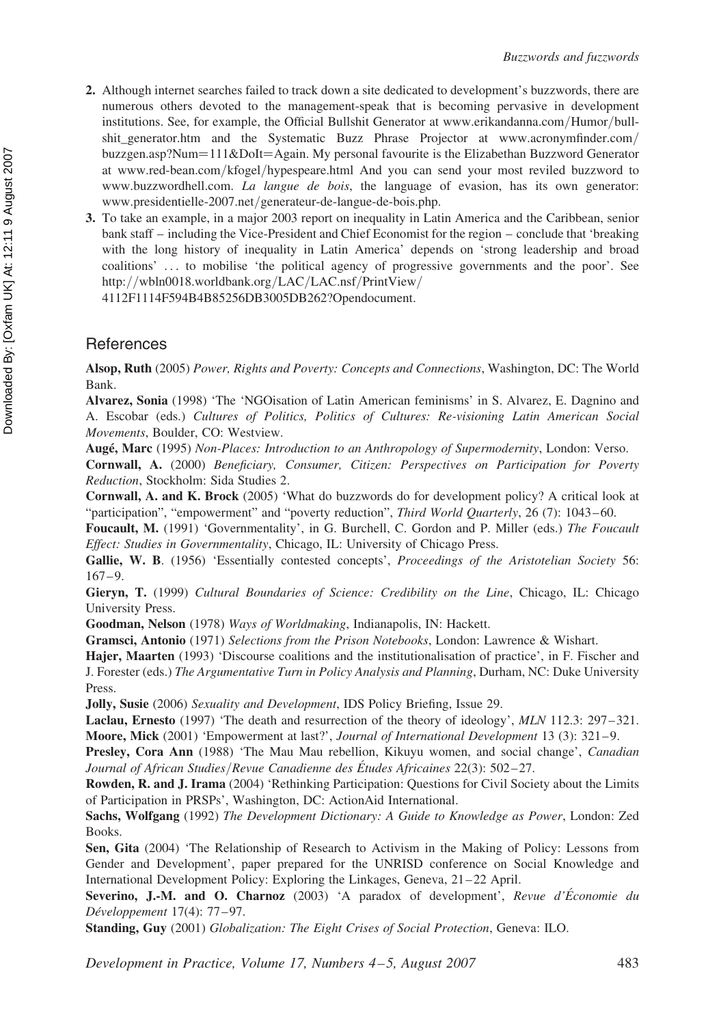- 2. Although internet searches failed to track down a site dedicated to development's buzzwords, there are numerous others devoted to the management-speak that is becoming pervasive in development institutions. See, for example, the Official Bullshit Generator at www.erikandanna.com/Humor/bullshit\_generator.htm and the Systematic Buzz Phrase Projector at www.acronymfinder.com/ buzzgen.asp?Num=111&DoIt=Again. My personal favourite is the Elizabethan Buzzword Generator at www.red-bean.com/kfogel/hypespeare.html And you can send your most reviled buzzword to www.buzzwordhell.com. *La langue de bois*, the language of evasion, has its own generator: www.presidentielle-2007.net/generateur-de-langue-de-bois.php.
- 3. To take an example, in a major 2003 report on inequality in Latin America and the Caribbean, senior bank staff – including the Vice-President and Chief Economist for the region – conclude that 'breaking with the long history of inequality in Latin America' depends on 'strong leadership and broad coalitions' ... to mobilise 'the political agency of progressive governments and the poor'. See http://wbln0018.worldbank.org/LAC/LAC.nsf/PrintView/

4112F1114F594B4B85256DB3005DB262?Opendocument.

## **References**

Alsop, Ruth (2005) Power, Rights and Poverty: Concepts and Connections, Washington, DC: The World Bank.

Alvarez, Sonia (1998) 'The 'NGOisation of Latin American feminisms' in S. Alvarez, E. Dagnino and A. Escobar (eds.) Cultures of Politics, Politics of Cultures: Re-visioning Latin American Social Movements, Boulder, CO: Westview.

Augé, Marc (1995) Non-Places: Introduction to an Anthropology of Supermodernity, London: Verso.

Cornwall, A. (2000) Beneficiary, Consumer, Citizen: Perspectives on Participation for Poverty Reduction, Stockholm: Sida Studies 2.

Cornwall, A. and K. Brock (2005) 'What do buzzwords do for development policy? A critical look at "participation", "empowerment" and "poverty reduction", Third World Quarterly, 26 (7): 1043-60.

Foucault, M. (1991) 'Governmentality', in G. Burchell, C. Gordon and P. Miller (eds.) The Foucault Effect: Studies in Governmentality, Chicago, IL: University of Chicago Press.

Gallie, W. B. (1956) 'Essentially contested concepts', Proceedings of the Aristotelian Society 56:  $167 - 9.$ 

Gieryn, T. (1999) Cultural Boundaries of Science: Credibility on the Line, Chicago, IL: Chicago University Press.

Goodman, Nelson (1978) Ways of Worldmaking, Indianapolis, IN: Hackett.

Gramsci, Antonio (1971) Selections from the Prison Notebooks, London: Lawrence & Wishart.

Hajer, Maarten (1993) 'Discourse coalitions and the institutionalisation of practice', in F. Fischer and J. Forester (eds.) The Argumentative Turn in Policy Analysis and Planning, Durham, NC: Duke University Press.

Jolly, Susie (2006) Sexuality and Development, IDS Policy Briefing, Issue 29.

Laclau, Ernesto (1997) 'The death and resurrection of the theory of ideology', MLN 112.3: 297–321. Moore, Mick (2001) 'Empowerment at last?', Journal of International Development 13 (3): 321– 9.

Presley, Cora Ann (1988) 'The Mau Mau rebellion, Kikuyu women, and social change', Canadian Journal of African Studies/Revue Canadienne des Études Africaines 22(3):  $502-27$ .

Rowden, R. and J. Irama (2004) 'Rethinking Participation: Questions for Civil Society about the Limits of Participation in PRSPs', Washington, DC: ActionAid International.

Sachs, Wolfgang (1992) The Development Dictionary: A Guide to Knowledge as Power, London: Zed Books.

Sen, Gita (2004) 'The Relationship of Research to Activism in the Making of Policy: Lessons from Gender and Development', paper prepared for the UNRISD conference on Social Knowledge and International Development Policy: Exploring the Linkages, Geneva, 21 – 22 April.

Severino, J.-M. and O. Charnoz  $(2003)$  'A paradox of development', Revue d'Économie du Développement 17(4): 77-97.

Standing, Guy (2001) Globalization: The Eight Crises of Social Protection, Geneva: ILO.